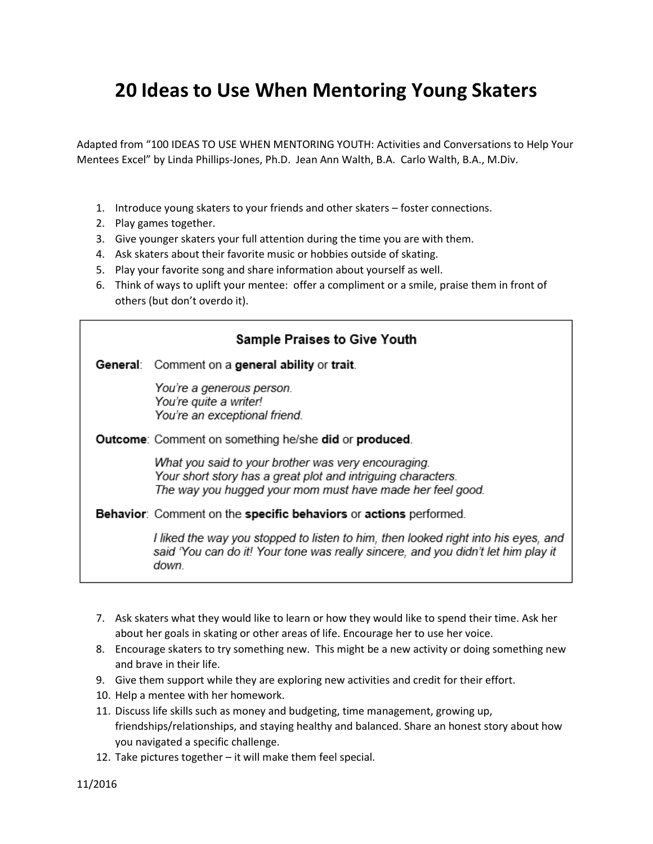## **20 Ideas to Use When Mentoring Young Skaters**

Adapted from "100 IDEAS TO USE WHEN MENTORING YOUTH: Activities and Conversations to Help Your Mentees Excel" by Linda Phillips-Jones, Ph.D. Jean Ann Walth, B.A. Carlo Walth, B.A., M.Div.

- 1. Introduce young skaters to your friends and other skaters foster connections.
- 2. Play games together.
- 3. Give younger skaters your full attention during the time you are with them.
- 4. Ask skaters about their favorite music or hobbies outside of skating.
- 5. Play your favorite song and share information about yourself as well.
- 6. Think of ways to uplift your mentee: offer a compliment or a smile, praise them in front of others (but don't overdo it).

| <b>Sample Praises to Give Youth</b> |                                                                                                                                                                                  |
|-------------------------------------|----------------------------------------------------------------------------------------------------------------------------------------------------------------------------------|
|                                     | <b>General:</b> Comment on a general ability or trait.                                                                                                                           |
|                                     | You're a generous person.<br>You're quite a writer!<br>You're an exceptional friend.                                                                                             |
|                                     | <b>Outcome:</b> Comment on something he/she did or produced.                                                                                                                     |
|                                     | What you said to your brother was very encouraging.<br>Your short story has a great plot and intriguing characters.<br>The way you hugged your mom must have made her feel good. |
|                                     | <b>Behavior:</b> Comment on the specific behaviors or actions performed.                                                                                                         |
|                                     | I liked the way you stopped to listen to him, then looked right into his eyes, and<br>said 'You can do it! Your tone was really sincere, and you didn't let him play it<br>down. |

- 7. Ask skaters what they would like to learn or how they would like to spend their time. Ask her about her goals in skating or other areas of life. Encourage her to use her voice.
- 8. Encourage skaters to try something new. This might be a new activity or doing something new and brave in their life.
- 9. Give them support while they are exploring new activities and credit for their effort.
- 10. Help a mentee with her homework.
- 11. Discuss life skills such as money and budgeting, time management, growing up, friendships/relationships, and staying healthy and balanced. Share an honest story about how you navigated a specific challenge.
- 12. Take pictures together it will make them feel special.